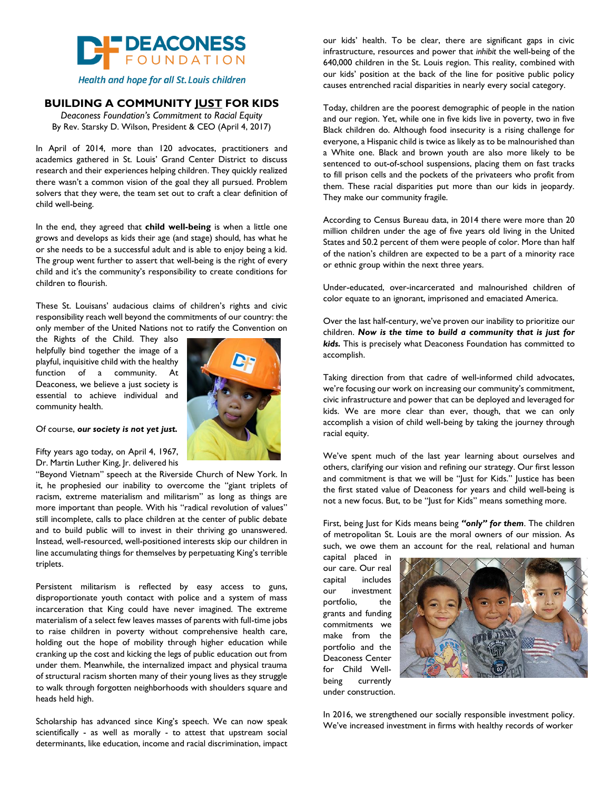

Health and hope for all St. Louis children

### **BUILDING A COMMUNITY JUST FOR KIDS**

*Deaconess Foundation's Commitment to Racial Equity* By Rev. Starsky D. Wilson, President & CEO (April 4, 2017)

In April of 2014, more than 120 advocates, practitioners and academics gathered in St. Louis' Grand Center District to discuss research and their experiences helping children. They quickly realized there wasn't a common vision of the goal they all pursued. Problem solvers that they were, the team set out to craft a clear definition of child well-being.

In the end, they agreed that **child well-being** is when a little one grows and develops as kids their age (and stage) should, has what he or she needs to be a successful adult and is able to enjoy being a kid. The group went further to assert that well-being is the right of every child and it's the community's responsibility to create conditions for children to flourish.

These St. Louisans' audacious claims of children's rights and civic responsibility reach well beyond the commitments of our country: the only member of the United Nations not to ratify the Convention on

the Rights of the Child. They also helpfully bind together the image of a playful, inquisitive child with the healthy function of a community. At Deaconess, we believe a just society is essential to achieve individual and community health.



#### Of course, *our society is not yet just.*

Fifty years ago today, on April 4, 1967, Dr. Martin Luther King, Jr. delivered his

"Beyond Vietnam" speech at the Riverside Church of New York. In it, he prophesied our inability to overcome the "giant triplets of racism, extreme materialism and militarism" as long as things are more important than people. With his "radical revolution of values" still incomplete, calls to place children at the center of public debate and to build public will to invest in their thriving go unanswered. Instead, well-resourced, well-positioned interests skip our children in line accumulating things for themselves by perpetuating King's terrible triplets.

Persistent militarism is reflected by easy access to guns, disproportionate youth contact with police and a system of mass incarceration that King could have never imagined. The extreme materialism of a select few leaves masses of parents with full-time jobs to raise children in poverty without comprehensive health care, holding out the hope of mobility through higher education while cranking up the cost and kicking the legs of public education out from under them. Meanwhile, the internalized impact and physical trauma of structural racism shorten many of their young lives as they struggle to walk through forgotten neighborhoods with shoulders square and heads held high.

Scholarship has advanced since King's speech. We can now speak scientifically - as well as morally - to attest that upstream social determinants, like education, income and racial discrimination, impact

our kids' health. To be clear, there are significant gaps in civic infrastructure, resources and power that *inhibit* the well-being of the 640,000 children in the St. Louis region. This reality, combined with our kids' position at the back of the line for positive public policy causes entrenched racial disparities in nearly every social category.

Today, children are the poorest demographic of people in the nation and our region. Yet, while one in five kids live in poverty, two in five Black children do. Although food insecurity is a rising challenge for everyone, a Hispanic child is twice as likely as to be malnourished than a White one. Black and brown youth are also more likely to be sentenced to out-of-school suspensions, placing them on fast tracks to fill prison cells and the pockets of the privateers who profit from them. These racial disparities put more than our kids in jeopardy. They make our community fragile.

According to Census Bureau data, in 2014 there were more than 20 million children under the age of five years old living in the United States and 50.2 percent of them were people of color. More than half of the nation's children are expected to be a part of a minority race or ethnic group within the next three years.

Under-educated, over-incarcerated and malnourished children of color equate to an ignorant, imprisoned and emaciated America.

Over the last half-century, we've proven our inability to prioritize our children. *Now is the time to build a community that is just for kids.* This is precisely what Deaconess Foundation has committed to accomplish.

Taking direction from that cadre of well-informed child advocates, we're focusing our work on increasing our community's commitment, civic infrastructure and power that can be deployed and leveraged for kids. We are more clear than ever, though, that we can only accomplish a vision of child well-being by taking the journey through racial equity.

We've spent much of the last year learning about ourselves and others, clarifying our vision and refining our strategy. Our first lesson and commitment is that we will be "Just for Kids." Justice has been the first stated value of Deaconess for years and child well-being is not a new focus. But, to be "Just for Kids" means something more.

First, being Just for Kids means being *"only" for them*. The children of metropolitan St. Louis are the moral owners of our mission. As such, we owe them an account for the real, relational and human

capital placed in our care. Our real capital includes our investment portfolio, the grants and funding commitments we make from the portfolio and the Deaconess Center for Child Wellbeing currently under construction.



In 2016, we strengthened our socially responsible investment policy. We've increased investment in firms with healthy records of worker